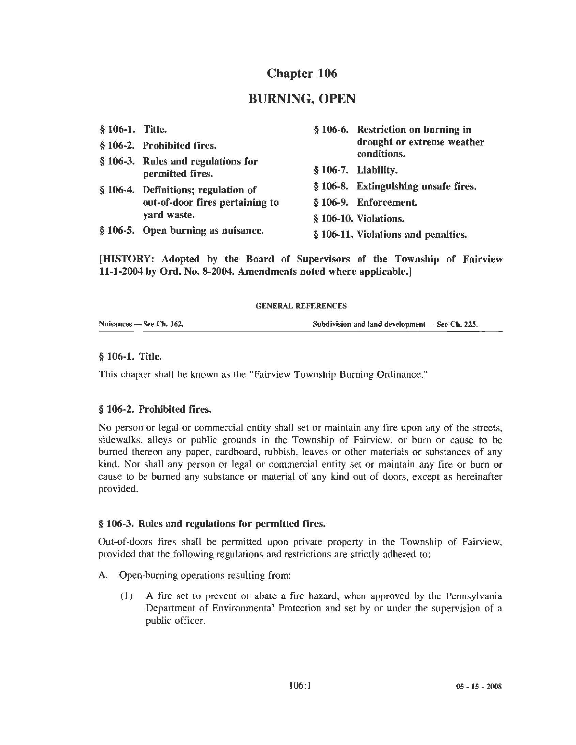# Chapter 106

## BURNING, OPEN

| § 106-1. Title. |                                     | § 106-6. Restriction on burning in   |
|-----------------|-------------------------------------|--------------------------------------|
|                 | § 106-2. Prohibited fires.          | drought or extreme weather           |
|                 | § 106-3. Rules and regulations for  | conditions.                          |
|                 | permitted fires.                    | § 106-7. Liability.                  |
|                 | § 106-4. Definitions; regulation of | § 106-8. Extinguishing unsafe fires. |
|                 | out-of-door fires pertaining to     | § 106-9. Enforcement.                |
|                 | yard waste.                         | § 106-10. Violations.                |
|                 | § 106-5. Open burning as nuisance.  | § 106-11. Violations and penalties.  |
|                 |                                     |                                      |

[HISTORY: Adopted by the Board of Supervisors of the Township of Fairview 11-1-2004 by Ord. No. 8-2004. Amendments noted where applicable.)

#### GENERAL REFERENCES

Nuisances - See Ch. 162. Subdivision and land development - See Ch. 225.

#### § 106-1. Title.

This chapter shall be known as the "Fairview Township Burning Ordinance."

#### § 106-2. Prohibited fires.

No person or legal or commercial entity shall set or maintain any fire upon any of the streets, sidewalks, alleys or public grounds in the Township of Fairview. or bum or cause to be burned thereon any paper, cardboard, rubbish, leaves or other materials or substances of any kind. Nor shall any person or legal or commercial entity set or maintain any fire or burn or cause to be burned any substance or material of any kind out of doors, except as hereinafter provided.

#### § 106-3. Rules and regulations for permitted fires.

Out-of-doors fires shall be permitted upon private property in the Township of Fairview, provided that the following regulations and restrictions are strictly adhered to:

- A. Open-burning operations resulting from:
	- (I) A fire set to prevent or abate a fire hazard, when approved by the Pennsylvania Department of Environmental Protection and set by or under the supervision of a public officer.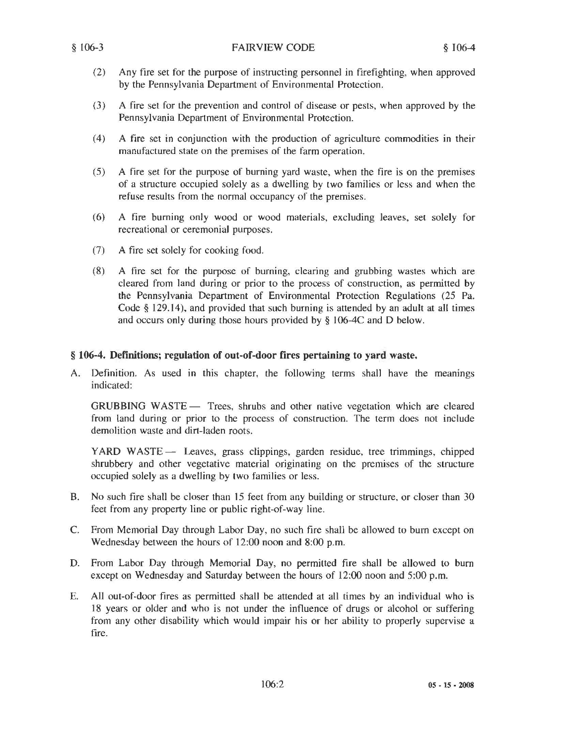- (2) Any fire set for the purpose of instructing personnel in firefighting, when approved by the Pennsylvania Department of Environmental Protection.
- (3) A fire set for the prevention and control of disease or pests, when approved by the Pennsylvania Department of Environmental Protection.
- ( 4) A fire set in conjunction with the production of agriculture commodities in their manufactured state on the premises of the farm operation.
- (5) A fire set for the purpose of burning yard waste, when the fire is on the premises of a structure occupied solely as a dwelling by two families or less and when the refuse results from the normal occupancy of the premises.
- (6) A fire burning only wood or wood materials, excluding leaves, set solely for recreational or ceremonial purposes.
- (7) A fire set solely for cooking food.
- (8) A fire set for the purpose of burning, clearing and grubbing wastes which are cleared from land during or prior to the process of construction, as permitted by the Pennsylvania Department of Environmental Protection Regulations (25 Pa. Code§ 129.14), and provided that such burning is attended by an adult at all times and occurs only during those hours provided by § J06-4C and D below.

#### § 106-4. Definitions; regulation of out-of-door fires pertaining to yard waste.

A. Definition. As used in this chapter, the following terms shall have the meanings indicated:

GRUBBING WASTE - Trees, shrubs and other native vegetation which are cleared from land during or prior to the process of construction. The term does not include demolition waste and dirt-laden roots.

YARD WASTE - Leaves, grass clippings, garden residue, tree trimmings, chipped shrubbery and other vegetative material originating on the premises of the structure occupied solely as a dwelling by two families or less.

- B. No such fire shall be closer than 15 feet from any building or structure. or closer than 30 feet from any property line or public right-of-way line.
- C. From Memorial Day through Labor Day, no such fire shall be allowed to burn except on Wednesday between the hours of 12:00 noon and 8:00 p.m.
- D. From Labor Day through Memorial Day, no permitted fire shall be allowed to burn except on Wednesday and Saturday between the hours of 12:00 noon and 5:00 p.m.
- E. All out-of-door fires as permitted shall be attended at all times by an individual who is 18 years or older and who is not under the influence of drugs or alcohol or suffering from any other disability which would impair his or her ability to properly supervise a fire.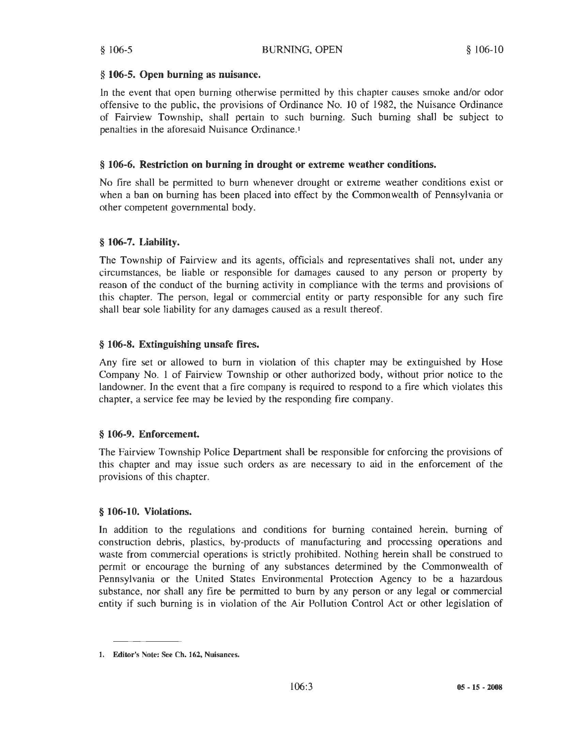#### § 106-5. Open burning as nuisance.

ln the event that open burning otherwise permitted by this chapter causes smoke and/or odor offensive to the public, the provisions of Ordinance No. JO of 1982, the Nuisance Ordinance of Fairview Township, shall pertain to such burning. Such burning shall be subject to penalties in the aforesaid Nuisance Ordinance.1

#### § 106-6. Restriction on burning in drought or extreme weather conditions.

No fire shall be permitted to burn whenever drought or extreme weather conditions exist or when a ban on burning has been placed into effect by the Commonwealth of Pennsylvania or other competent governmental body.

#### § 106-7. Liability.

The Township of Fairview and its agents, officials and representatives shall not, under any circumstances, be liable or responsible for damages caused to any person or property by reason of the conduct of the burning activity in compliance with the terms and provisions of this chapter. The person, legal or commercial entity or party responsible for any such fire shall bear sole liability for any damages caused as a result thereof.

#### § 106-8. Extinguishing unsafe fires.

Any fire set or allowed to burn in violation of this chapter may be extinguished by Hose Company No. l of Fairview Township or other authorized body, without prior notice to the landowner. In the event that a fire company is required to respond to a fire which violates this chapter, a service fee may be levied by the responding fire company.

### § 106-9. Enforcement.

The Fairview Township Police Department shall be responsible for enforcing the provisions of this chapter and may issue such orders as are necessary to aid in the enforcement of the provisions of this chapter.

#### § 106-10. Violations.

In addition to the regulations and conditions for burning contained herein, burning of construction debris, plastics, by-products of manufacturing and processing operations and waste from commercial operations is strictly prohibited. Nothing herein shall be construed to permit or encourage the burning of any substances determined by the Commonwealth of Pennsylvania or the United States Environmental Protection Agency to be a hazardous substance, nor shall any fire be permitted to bum by any person or any legal or commercial entity if such burning is in violation of the Air Pollution Control Act or other legislation of

<sup>1.</sup> Editor's Note: See Ch. 162, Nuisances.